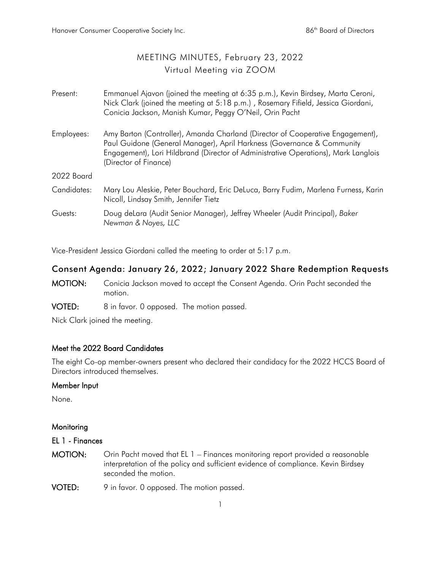# MEETING MINUTES, February 23, 2022 Virtual Meeting via ZOOM

| Present:    | Emmanuel Ajavon (joined the meeting at 6:35 p.m.), Kevin Birdsey, Marta Ceroni,<br>Nick Clark (joined the meeting at 5:18 p.m.), Rosemary Fifield, Jessica Giordani,<br>Conicia Jackson, Manish Kumar, Peggy O'Neil, Orin Pacht                                         |
|-------------|-------------------------------------------------------------------------------------------------------------------------------------------------------------------------------------------------------------------------------------------------------------------------|
| Employees:  | Amy Barton (Controller), Amanda Charland (Director of Cooperative Engagement),<br>Paul Guidone (General Manager), April Harkness (Governance & Community<br>Engagement), Lori Hildbrand (Director of Administrative Operations), Mark Langlois<br>(Director of Finance) |
| 2022 Board  |                                                                                                                                                                                                                                                                         |
| Candidates: | Mary Lou Aleskie, Peter Bouchard, Eric DeLuca, Barry Fudim, Marlena Furness, Karin<br>Nicoll, Lindsay Smith, Jennifer Tietz                                                                                                                                             |
| Guests:     | Doug deLara (Audit Senior Manager), Jeffrey Wheeler (Audit Principal), Baker<br>Newman & Noyes, LLC                                                                                                                                                                     |

Vice-President Jessica Giordani called the meeting to order at 5:17 p.m.

## Consent Agenda: January 26, 2022; January 2022 Share Redemption Requests

- MOTION: Conicia Jackson moved to accept the Consent Agenda. Orin Pacht seconded the motion.
- VOTED: 8 in favor. 0 opposed. The motion passed.

Nick Clark joined the meeting.

## Meet the 2022 Board Candidates

The eight Co-op member-owners present who declared their candidacy for the 2022 HCCS Board of Directors introduced themselves.

### Member Input

None.

### **Monitoring**

#### EL 1 - Finances

- MOTION: Orin Pacht moved that EL 1 Finances monitoring report provided a reasonable interpretation of the policy and sufficient evidence of compliance. Kevin Birdsey seconded the motion.
- VOTED: 9 in favor. 0 opposed. The motion passed.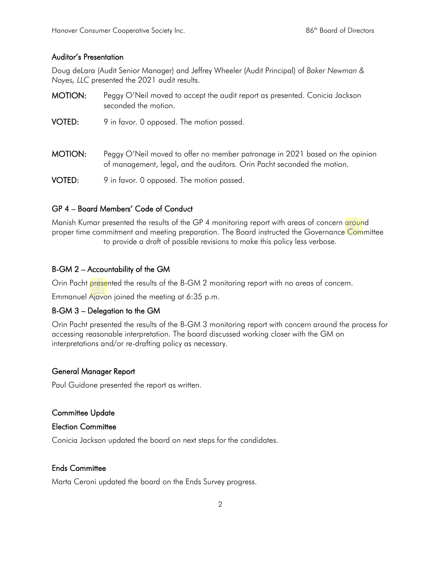#### Auditor's Presentation

Doug deLara (Audit Senior Manager) and Jeffrey Wheeler (Audit Principal) of *Baker Newman & Noyes, LLC* presented the 2021 audit results.

- MOTION: Peggy O'Neil moved to accept the audit report as presented. Conicia Jackson seconded the motion.
- VOTED: 9 in favor. 0 opposed. The motion passed.
- MOTION: Peggy O'Neil moved to offer no member patronage in 2021 based on the opinion of management, legal, and the auditors. Orin Pacht seconded the motion.
- VOTED: 9 in favor. 0 opposed. The motion passed.

### GP 4 – Board Members' Code of Conduct

Manish Kumar presented the results of the GP 4 monitoring report with areas of concern around proper time commitment and meeting preparation. The Board instructed the Governance Committee to provide a draft of possible revisions to make this policy less verbose.

### B-GM 2 – Accountability of the GM

Orin Pacht presented the results of the B-GM 2 monitoring report with no areas of concern.

Emmanuel Ajavon joined the meeting at 6:35 p.m.

### B-GM 3 – Delegation to the GM

Orin Pacht presented the results of the B-GM 3 monitoring report with concern around the process for accessing reasonable interpretation. The board discussed working closer with the GM on interpretations and/or re-drafting policy as necessary.

### General Manager Report

Paul Guidone presented the report as written.

#### Committee Update

#### Election Committee

Conicia Jackson updated the board on next steps for the candidates.

### Ends Committee

Marta Ceroni updated the board on the Ends Survey progress.